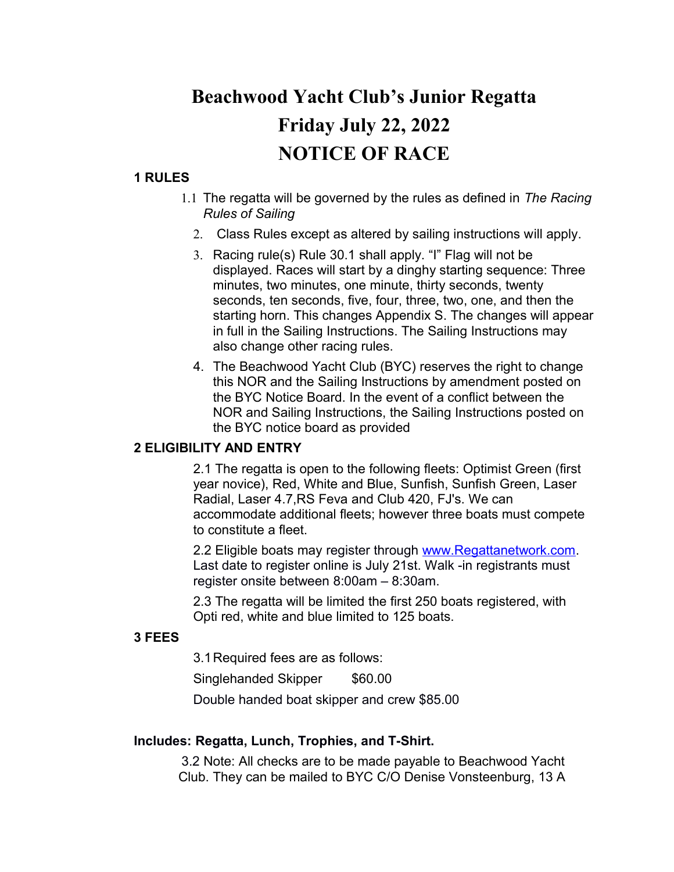# **Beachwood Yacht Club's Junior Regatta Friday July 22, 2022 NOTICE OF RACE**

# **1 RULES**

- 1.1 The regatta will be governed by the rules as defined in *The Racing Rules of Sailing*
	- 2. Class Rules except as altered by sailing instructions will apply.
	- 3. Racing rule(s) Rule 30.1 shall apply. "I" Flag will not be displayed. Races will start by a dinghy starting sequence: Three minutes, two minutes, one minute, thirty seconds, twenty seconds, ten seconds, five, four, three, two, one, and then the starting horn. This changes Appendix S. The changes will appear in full in the Sailing Instructions. The Sailing Instructions may also change other racing rules.
	- 4. The Beachwood Yacht Club (BYC) reserves the right to change this NOR and the Sailing Instructions by amendment posted on the BYC Notice Board. In the event of a conflict between the NOR and Sailing Instructions, the Sailing Instructions posted on the BYC notice board as provided

# **2 ELIGIBILITY AND ENTRY**

2.1 The regatta is open to the following fleets: Optimist Green (first year novice), Red, White and Blue, Sunfish, Sunfish Green, Laser Radial, Laser 4.7,RS Feva and Club 420, FJ's. We can accommodate additional fleets; however three boats must compete to constitute a fleet.

2.2 Eligible boats may register through [www.Regattanetwork.com.](http://www.regattanetwork.com/) Last date to register online is July 21st. Walk -in registrants must register onsite between 8:00am – 8:30am.

2.3 The regatta will be limited the first 250 boats registered, with Opti red, white and blue limited to 125 boats.

# **3 FEES**

3.1Required fees are as follows: Singlehanded Skipper \$60.00 Double handed boat skipper and crew \$85.00

# **Includes: Regatta, Lunch, Trophies, and T-Shirt.**

 3.2 Note: All checks are to be made payable to Beachwood Yacht Club. They can be mailed to BYC C/O Denise Vonsteenburg, 13 A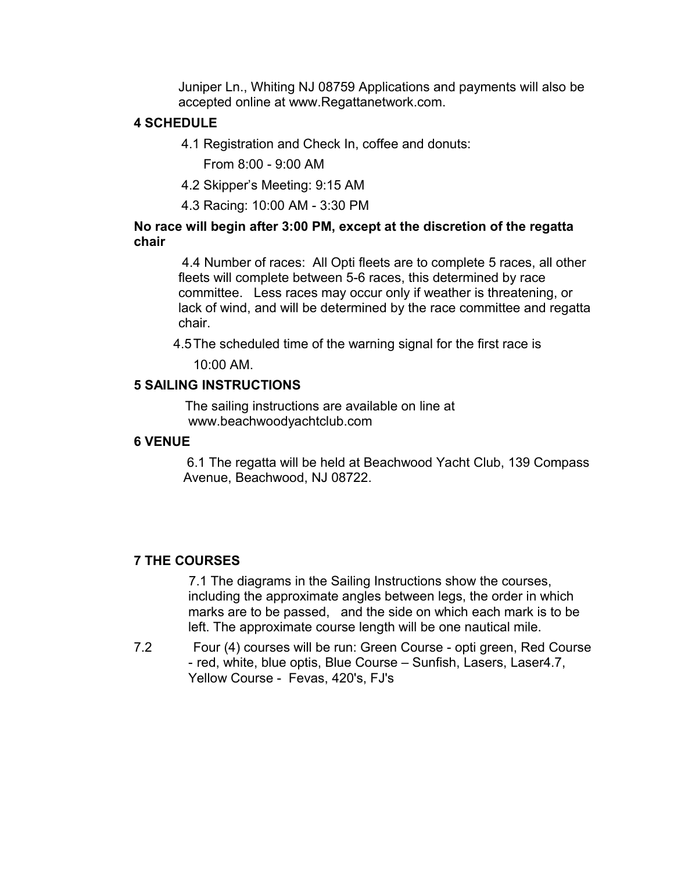Juniper Ln., Whiting NJ 08759 Applications and payments will also be accepted online at www.Regattanetwork.com.

# **4 SCHEDULE**

4.1 Registration and Check In, coffee and donuts:

From 8:00 - 9:00 AM

- 4.2 Skipper's Meeting: 9:15 AM
- 4.3 Racing: 10:00 AM 3:30 PM

# **No race will begin after 3:00 PM, except at the discretion of the regatta chair**

 4.4 Number of races: All Opti fleets are to complete 5 races, all other fleets will complete between 5-6 races, this determined by race committee. Less races may occur only if weather is threatening, or lack of wind, and will be determined by the race committee and regatta chair.

4.5The scheduled time of the warning signal for the first race is

10:00 AM.

# **5 SAILING INSTRUCTIONS**

 The sailing instructions are available on line at www.beachwoodyachtclub.com

## **6 VENUE**

 6.1 The regatta will be held at Beachwood Yacht Club, 139 Compass Avenue, Beachwood, NJ 08722.

# **7 THE COURSES**

 7.1 The diagrams in the Sailing Instructions show the courses, including the approximate angles between legs, the order in which marks are to be passed, and the side on which each mark is to be left. The approximate course length will be one nautical mile.

7.2 Four (4) courses will be run: Green Course - opti green, Red Course - red, white, blue optis, Blue Course – Sunfish, Lasers, Laser4.7, Yellow Course - Fevas, 420's, FJ's